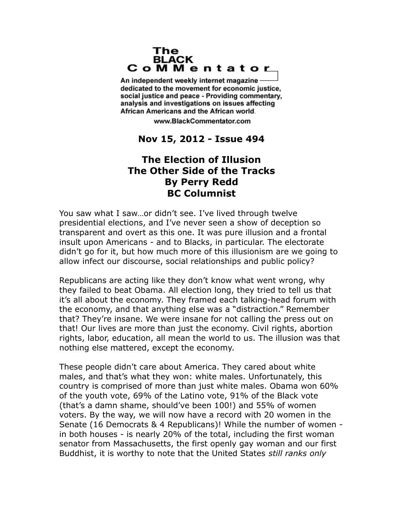## The **BLACK** CoMMentator

An independent weekly internet magazine dedicated to the movement for economic justice. social justice and peace - Providing commentary, analysis and investigations on issues affecting African Americans and the African world.

www.BlackCommentator.com

## **Nov 15, 2012 - Issue 494**

## **The Election of Illusion The Other Side of the Tracks By Perry Redd BC Columnist**

You saw what I saw…or didn't see. I've lived through twelve presidential elections, and I've never seen a show of deception so transparent and overt as this one. It was pure illusion and a frontal insult upon Americans - and to Blacks, in particular. The electorate didn't go for it, but how much more of this illusionism are we going to allow infect our discourse, social relationships and public policy?

Republicans are acting like they don't know what went wrong, why they failed to beat Obama. All election long, they tried to tell us that it's all about the economy. They framed each talking-head forum with the economy, and that anything else was a "distraction." Remember that? They're insane. We were insane for not calling the press out on that! Our lives are more than just the economy. Civil rights, abortion rights, labor, education, all mean the world to us. The illusion was that nothing else mattered, except the economy.

These people didn't care about America. They cared about white males, and that's what they won: white males. Unfortunately, this country is comprised of more than just white males. Obama won 60% of the youth vote, 69% of the Latino vote, 91% of the Black vote (that's a damn shame, should've been 100!) and 55% of women voters. By the way, we will now have a record with 20 women in the Senate (16 Democrats & 4 Republicans)! While the number of women in both houses - is nearly 20% of the total, including the first woman senator from Massachusetts, the first openly gay woman and our first Buddhist, it is worthy to note that the United States *still ranks only*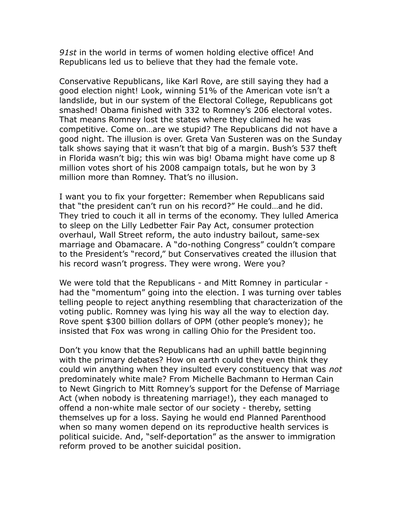*91st* in the world in terms of women holding elective office! And Republicans led us to believe that they had the female vote.

Conservative Republicans, like Karl Rove, are still saying they had a good election night! Look, winning 51% of the American vote isn't a landslide, but in our system of the Electoral College, Republicans got smashed! Obama finished with 332 to Romney's 206 electoral votes. That means Romney lost the states where they claimed he was competitive. Come on…are we stupid? The Republicans did not have a good night. The illusion is over. Greta Van Susteren was on the Sunday talk shows saying that it wasn't that big of a margin. Bush's 537 theft in Florida wasn't big; this win was big! Obama might have come up 8 million votes short of his 2008 campaign totals, but he won by 3 million more than Romney. That's no illusion.

I want you to fix your forgetter: Remember when Republicans said that "the president can't run on his record?" He could…and he did. They tried to couch it all in terms of the economy. They lulled America to sleep on the Lilly Ledbetter Fair Pay Act, consumer protection overhaul, Wall Street reform, the auto industry bailout, same-sex marriage and Obamacare. A "do-nothing Congress" couldn't compare to the President's "record," but Conservatives created the illusion that his record wasn't progress. They were wrong. Were you?

We were told that the Republicans - and Mitt Romney in particular had the "momentum" going into the election. I was turning over tables telling people to reject anything resembling that characterization of the voting public. Romney was lying his way all the way to election day. Rove spent \$300 billion dollars of OPM (other people's money); he insisted that Fox was wrong in calling Ohio for the President too.

Don't you know that the Republicans had an uphill battle beginning with the primary debates? How on earth could they even think they could win anything when they insulted every constituency that was *not* predominately white male? From Michelle Bachmann to Herman Cain to Newt Gingrich to Mitt Romney's support for the Defense of Marriage Act (when nobody is threatening marriage!), they each managed to offend a non-white male sector of our society - thereby, setting themselves up for a loss. Saying he would end Planned Parenthood when so many women depend on its reproductive health services is political suicide. And, "self-deportation" as the answer to immigration reform proved to be another suicidal position.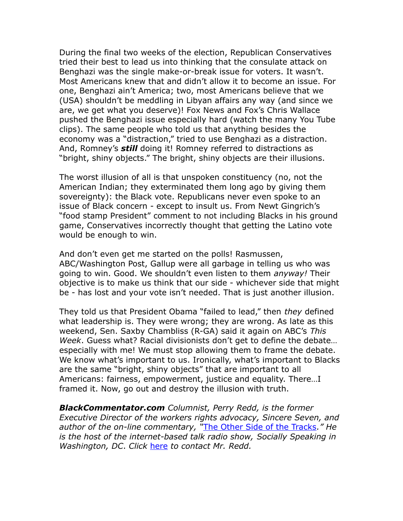During the final two weeks of the election, Republican Conservatives tried their best to lead us into thinking that the consulate attack on Benghazi was the single make-or-break issue for voters. It wasn't. Most Americans knew that and didn't allow it to become an issue. For one, Benghazi ain't America; two, most Americans believe that we (USA) shouldn't be meddling in Libyan affairs any way (and since we are, we get what you deserve)! Fox News and Fox's Chris Wallace pushed the Benghazi issue especially hard (watch the many You Tube clips). The same people who told us that anything besides the economy was a "distraction," tried to use Benghazi as a distraction. And, Romney's *still* doing it! Romney referred to distractions as "bright, shiny objects." The bright, shiny objects are their illusions.

The worst illusion of all is that unspoken constituency (no, not the American Indian; they exterminated them long ago by giving them sovereignty): the Black vote. Republicans never even spoke to an issue of Black concern - except to insult us. From Newt Gingrich's "food stamp President" comment to not including Blacks in his ground game, Conservatives incorrectly thought that getting the Latino vote would be enough to win.

And don't even get me started on the polls! Rasmussen, ABC/Washington Post, Gallup were all garbage in telling us who was going to win. Good. We shouldn't even listen to them *anyway!* Their objective is to make us think that our side - whichever side that might be - has lost and your vote isn't needed. That is just another illusion.

They told us that President Obama "failed to lead," then *they* defined what leadership is. They were wrong; they are wrong. As late as this weekend, Sen. Saxby Chambliss (R-GA) said it again on ABC's *This Week*. Guess what? Racial divisionists don't get to define the debate… especially with me! We must stop allowing them to frame the debate. We know what's important to us. Ironically, what's important to Blacks are the same "bright, shiny objects" that are important to all Americans: fairness, empowerment, justice and equality. There…I framed it. Now, go out and destroy the illusion with truth.

*BlackCommentator.com Columnist, Perry Redd, is the former Executive Director of the workers rights advocacy, Sincere Seven, and author of the on-line commentary, "*[The Other Side of the Tracks](http://socialspeaks.wordpress.com/)*." He is the host of the internet-based talk radio show, Socially Speaking in Washington, DC*. *Click* [here](http://www.blackcommentator.com/contact_forms/redd/contact.php) *to contact Mr. Redd.*